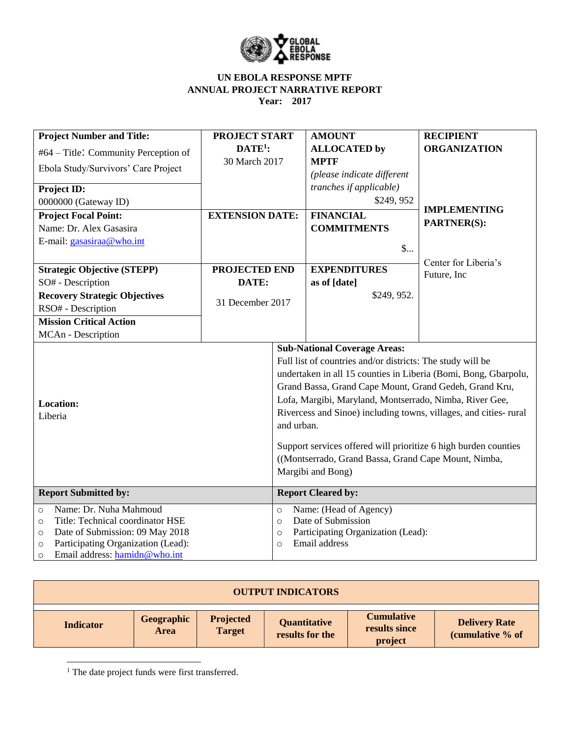

| <b>Project Number and Title:</b>                                                                                                                                                                                            | <b>PROJECT START</b>                                                                                                                                                                                                                                                                                                                                                                                                                                                                                                         |                                           | <b>AMOUNT</b>                                                                                       | <b>RECIPIENT</b>     |
|-----------------------------------------------------------------------------------------------------------------------------------------------------------------------------------------------------------------------------|------------------------------------------------------------------------------------------------------------------------------------------------------------------------------------------------------------------------------------------------------------------------------------------------------------------------------------------------------------------------------------------------------------------------------------------------------------------------------------------------------------------------------|-------------------------------------------|-----------------------------------------------------------------------------------------------------|----------------------|
| #64 – Title: Community Perception of                                                                                                                                                                                        | $DATE1$ :                                                                                                                                                                                                                                                                                                                                                                                                                                                                                                                    |                                           | <b>ALLOCATED by</b>                                                                                 | <b>ORGANIZATION</b>  |
| Ebola Study/Survivors' Care Project                                                                                                                                                                                         | 30 March 2017                                                                                                                                                                                                                                                                                                                                                                                                                                                                                                                |                                           | <b>MPTF</b>                                                                                         |                      |
|                                                                                                                                                                                                                             |                                                                                                                                                                                                                                                                                                                                                                                                                                                                                                                              |                                           | (please indicate different                                                                          |                      |
| Project ID:                                                                                                                                                                                                                 |                                                                                                                                                                                                                                                                                                                                                                                                                                                                                                                              |                                           | <i>tranches if applicable)</i>                                                                      |                      |
| 0000000 (Gateway ID)                                                                                                                                                                                                        |                                                                                                                                                                                                                                                                                                                                                                                                                                                                                                                              |                                           | \$249,952                                                                                           |                      |
| <b>Project Focal Point:</b>                                                                                                                                                                                                 | <b>EXTENSION DATE:</b>                                                                                                                                                                                                                                                                                                                                                                                                                                                                                                       |                                           | <b>FINANCIAL</b>                                                                                    | <b>IMPLEMENTING</b>  |
| Name: Dr. Alex Gasasira                                                                                                                                                                                                     |                                                                                                                                                                                                                                                                                                                                                                                                                                                                                                                              |                                           | <b>COMMITMENTS</b>                                                                                  | <b>PARTNER(S):</b>   |
| E-mail: gasasiraa@who.int                                                                                                                                                                                                   |                                                                                                                                                                                                                                                                                                                                                                                                                                                                                                                              |                                           | $\mathsf{\$}$                                                                                       |                      |
|                                                                                                                                                                                                                             |                                                                                                                                                                                                                                                                                                                                                                                                                                                                                                                              |                                           |                                                                                                     |                      |
| <b>Strategic Objective (STEPP)</b>                                                                                                                                                                                          | <b>PROJECTED END</b>                                                                                                                                                                                                                                                                                                                                                                                                                                                                                                         |                                           | <b>EXPENDITURES</b>                                                                                 | Center for Liberia's |
| SO# - Description                                                                                                                                                                                                           | DATE:                                                                                                                                                                                                                                                                                                                                                                                                                                                                                                                        |                                           | as of [date]                                                                                        | Future, Inc.         |
| <b>Recovery Strategic Objectives</b>                                                                                                                                                                                        |                                                                                                                                                                                                                                                                                                                                                                                                                                                                                                                              |                                           | \$249, 952.                                                                                         |                      |
| RSO# - Description                                                                                                                                                                                                          | 31 December 2017                                                                                                                                                                                                                                                                                                                                                                                                                                                                                                             |                                           |                                                                                                     |                      |
| <b>Mission Critical Action</b>                                                                                                                                                                                              |                                                                                                                                                                                                                                                                                                                                                                                                                                                                                                                              |                                           |                                                                                                     |                      |
| MCAn - Description                                                                                                                                                                                                          |                                                                                                                                                                                                                                                                                                                                                                                                                                                                                                                              |                                           |                                                                                                     |                      |
| <b>Location:</b><br>Liberia                                                                                                                                                                                                 | <b>Sub-National Coverage Areas:</b><br>Full list of countries and/or districts: The study will be<br>undertaken in all 15 counties in Liberia (Bomi, Bong, Gbarpolu,<br>Grand Bassa, Grand Cape Mount, Grand Gedeh, Grand Kru,<br>Lofa, Margibi, Maryland, Montserrado, Nimba, River Gee,<br>Rivercess and Sinoe) including towns, villages, and cities- rural<br>and urban.<br>Support services offered will prioritize 6 high burden counties<br>((Montserrado, Grand Bassa, Grand Cape Mount, Nimba,<br>Margibi and Bong) |                                           |                                                                                                     |                      |
| <b>Report Submitted by:</b>                                                                                                                                                                                                 |                                                                                                                                                                                                                                                                                                                                                                                                                                                                                                                              |                                           | <b>Report Cleared by:</b>                                                                           |                      |
| Name: Dr. Nuha Mahmoud<br>$\circ$<br>Title: Technical coordinator HSE<br>$\circ$<br>Date of Submission: 09 May 2018<br>$\circ$<br>Participating Organization (Lead):<br>$\circ$<br>Email address: hamidn@who.int<br>$\circ$ |                                                                                                                                                                                                                                                                                                                                                                                                                                                                                                                              | $\circ$<br>$\Omega$<br>$\circ$<br>$\circ$ | Name: (Head of Agency)<br>Date of Submission<br>Participating Organization (Lead):<br>Email address |                      |

| <b>OUTPUT INDICATORS</b> |                    |                                   |                                 |                                               |                                          |
|--------------------------|--------------------|-----------------------------------|---------------------------------|-----------------------------------------------|------------------------------------------|
| <b>Indicator</b>         | Geographic<br>Area | <b>Projected</b><br><b>Target</b> | Quantitative<br>results for the | <b>Cumulative</b><br>results since<br>project | <b>Delivery Rate</b><br>(cumulative % of |

<sup>1</sup> The date project funds were first transferred.

 $\overline{\phantom{a}}$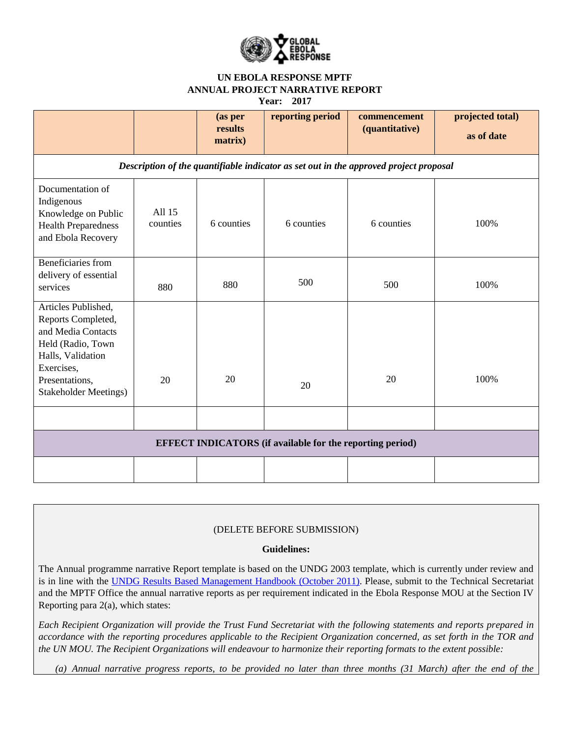

| <b>Year:</b> | 201 |  |
|--------------|-----|--|
|--------------|-----|--|

|                                                                                                                                                                           |                                                                  | (as per<br>results<br>matrix) | reporting period | commencement<br>(quantitative) | projected total)<br>as of date |  |
|---------------------------------------------------------------------------------------------------------------------------------------------------------------------------|------------------------------------------------------------------|-------------------------------|------------------|--------------------------------|--------------------------------|--|
| Description of the quantifiable indicator as set out in the approved project proposal                                                                                     |                                                                  |                               |                  |                                |                                |  |
| Documentation of<br>Indigenous<br>Knowledge on Public<br><b>Health Preparedness</b><br>and Ebola Recovery                                                                 | All 15<br>counties                                               | 6 counties                    | 6 counties       | 6 counties                     | 100%                           |  |
| Beneficiaries from<br>delivery of essential<br>services                                                                                                                   | 880                                                              | 880                           | 500              | 500                            | 100%                           |  |
| Articles Published,<br>Reports Completed,<br>and Media Contacts<br>Held (Radio, Town<br>Halls, Validation<br>Exercises,<br>Presentations,<br><b>Stakeholder Meetings)</b> | 20                                                               | 20                            | 20               | 20                             | 100%                           |  |
|                                                                                                                                                                           | <b>EFFECT INDICATORS</b> (if available for the reporting period) |                               |                  |                                |                                |  |
|                                                                                                                                                                           |                                                                  |                               |                  |                                |                                |  |

### (DELETE BEFORE SUBMISSION)

#### **Guidelines:**

The Annual programme narrative Report template is based on the UNDG 2003 template, which is currently under review and is in line with the [UNDG Results Based Management Handbook \(October 2011\).](../AppData/Roaming/Microsoft/AppData/Local/Microsoft/Windows/INetCache/Content.Outlook/1GOG3BPI/AppData/Local/Microsoft/Windows/Temporary%20Internet%20Files/AppData/Local/Microsoft/AppData/Local/Microsoft/Windows/Temporary%20Internet%20Files/Content.Outlook/AppData/Local/Microsoft/Windows/Temporary%20Internet%20Files/Content.Outlook/EPG6TJ9O/):%20%20http:/www.undg.org/docs/12316/UNDG-RBM%20Handbook-2012.pdf) Please, submit to the Technical Secretariat and the MPTF Office the annual narrative reports as per requirement indicated in the Ebola Response MOU at the Section IV Reporting para 2(a), which states:

*Each Recipient Organization will provide the Trust Fund Secretariat with the following statements and reports prepared in accordance with the reporting procedures applicable to the Recipient Organization concerned, as set forth in the TOR and the UN MOU. The Recipient Organizations will endeavour to harmonize their reporting formats to the extent possible:* 

*(a) Annual narrative progress reports, to be provided no later than three months (31 March) after the end of the*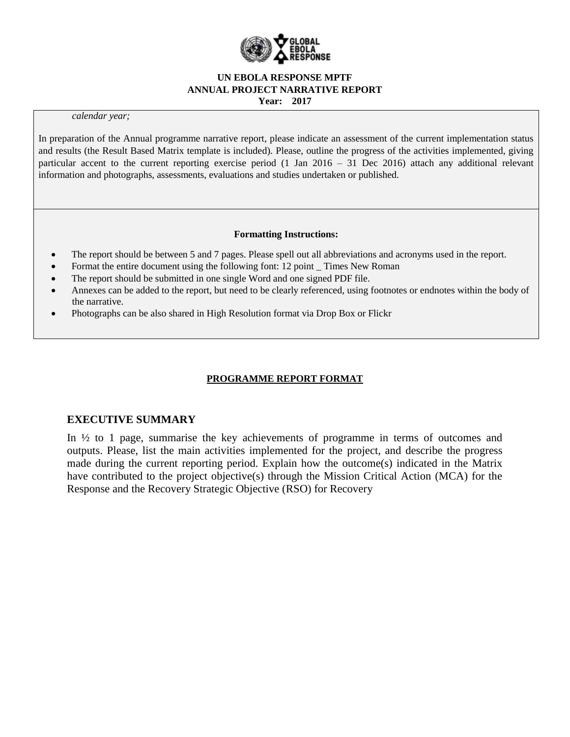

**Year: 2017**

#### *calendar year;*

In preparation of the Annual programme narrative report, please indicate an assessment of the current implementation status and results (the Result Based Matrix template is included). Please, outline the progress of the activities implemented, giving particular accent to the current reporting exercise period (1 Jan 2016 – 31 Dec 2016) attach any additional relevant information and photographs, assessments, evaluations and studies undertaken or published.

#### **Formatting Instructions:**

- The report should be between 5 and 7 pages. Please spell out all abbreviations and acronyms used in the report.
- Format the entire document using the following font: 12 point \_ Times New Roman
- The report should be submitted in one single Word and one signed PDF file.
- Annexes can be added to the report, but need to be clearly referenced, using footnotes or endnotes within the body of the narrative.
- Photographs can be also shared in High Resolution format via Drop Box or Flickr

## **PROGRAMME REPORT FORMAT**

## **EXECUTIVE SUMMARY**

In ½ to 1 page, summarise the key achievements of programme in terms of outcomes and outputs. Please, list the main activities implemented for the project, and describe the progress made during the current reporting period. Explain how the outcome(s) indicated in the Matrix have contributed to the project objective(s) through the Mission Critical Action (MCA) for the Response and the Recovery Strategic Objective (RSO) for Recovery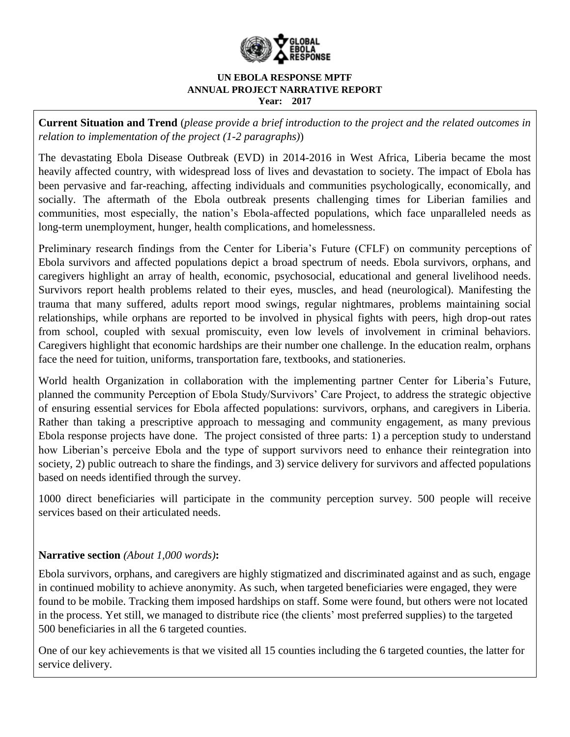

**Current Situation and Trend** (*please provide a brief introduction to the project and the related outcomes in relation to implementation of the project (1-2 paragraphs)*)

The devastating Ebola Disease Outbreak (EVD) in 2014-2016 in West Africa, Liberia became the most heavily affected country, with widespread loss of lives and devastation to society. The impact of Ebola has been pervasive and far-reaching, affecting individuals and communities psychologically, economically, and socially. The aftermath of the Ebola outbreak presents challenging times for Liberian families and communities, most especially, the nation's Ebola-affected populations, which face unparalleled needs as long-term unemployment, hunger, health complications, and homelessness.

Preliminary research findings from the Center for Liberia's Future (CFLF) on community perceptions of Ebola survivors and affected populations depict a broad spectrum of needs. Ebola survivors, orphans, and caregivers highlight an array of health, economic, psychosocial, educational and general livelihood needs. Survivors report health problems related to their eyes, muscles, and head (neurological). Manifesting the trauma that many suffered, adults report mood swings, regular nightmares, problems maintaining social relationships, while orphans are reported to be involved in physical fights with peers, high drop-out rates from school, coupled with sexual promiscuity, even low levels of involvement in criminal behaviors. Caregivers highlight that economic hardships are their number one challenge. In the education realm, orphans face the need for tuition, uniforms, transportation fare, textbooks, and stationeries.

World health Organization in collaboration with the implementing partner Center for Liberia's Future, planned the community Perception of Ebola Study/Survivors' Care Project, to address the strategic objective of ensuring essential services for Ebola affected populations: survivors, orphans, and caregivers in Liberia. Rather than taking a prescriptive approach to messaging and community engagement, as many previous Ebola response projects have done. The project consisted of three parts: 1) a perception study to understand how Liberian's perceive Ebola and the type of support survivors need to enhance their reintegration into society, 2) public outreach to share the findings, and 3) service delivery for survivors and affected populations based on needs identified through the survey.

1000 direct beneficiaries will participate in the community perception survey. 500 people will receive services based on their articulated needs.

# **Narrative section** *(About 1,000 words)***:**

Ebola survivors, orphans, and caregivers are highly stigmatized and discriminated against and as such, engage in continued mobility to achieve anonymity. As such, when targeted beneficiaries were engaged, they were found to be mobile. Tracking them imposed hardships on staff. Some were found, but others were not located in the process. Yet still, we managed to distribute rice (the clients' most preferred supplies) to the targeted 500 beneficiaries in all the 6 targeted counties.

One of our key achievements is that we visited all 15 counties including the 6 targeted counties, the latter for service delivery.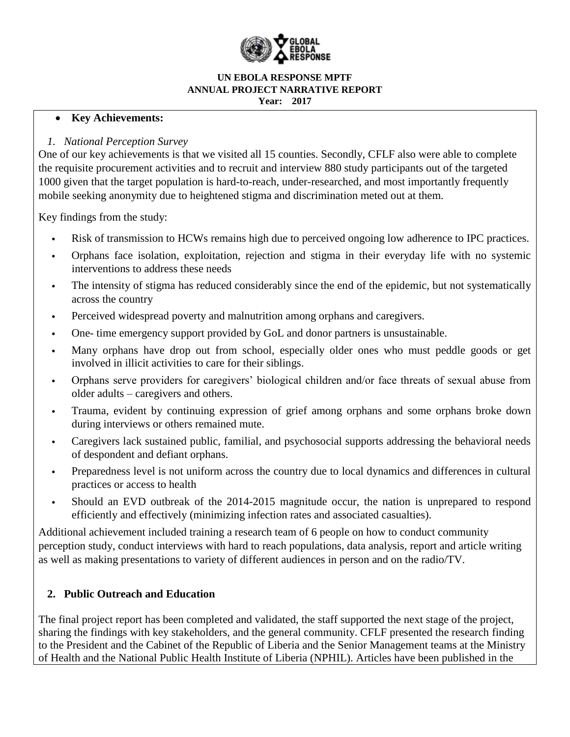

## **Key Achievements:**

# *1. National Perception Survey*

One of our key achievements is that we visited all 15 counties. Secondly, CFLF also were able to complete the requisite procurement activities and to recruit and interview 880 study participants out of the targeted 1000 given that the target population is hard-to-reach, under-researched, and most importantly frequently mobile seeking anonymity due to heightened stigma and discrimination meted out at them.

Key findings from the study:

- Risk of transmission to HCWs remains high due to perceived ongoing low adherence to IPC practices.
- Orphans face isolation, exploitation, rejection and stigma in their everyday life with no systemic interventions to address these needs
- The intensity of stigma has reduced considerably since the end of the epidemic, but not systematically across the country
- Perceived widespread poverty and malnutrition among orphans and caregivers.
- One- time emergency support provided by GoL and donor partners is unsustainable.
- Many orphans have drop out from school, especially older ones who must peddle goods or get involved in illicit activities to care for their siblings.
- Orphans serve providers for caregivers' biological children and/or face threats of sexual abuse from older adults – caregivers and others.
- Trauma, evident by continuing expression of grief among orphans and some orphans broke down during interviews or others remained mute.
- Caregivers lack sustained public, familial, and psychosocial supports addressing the behavioral needs of despondent and defiant orphans.
- Preparedness level is not uniform across the country due to local dynamics and differences in cultural practices or access to health
- Should an EVD outbreak of the 2014-2015 magnitude occur, the nation is unprepared to respond efficiently and effectively (minimizing infection rates and associated casualties).

Additional achievement included training a research team of 6 people on how to conduct community perception study, conduct interviews with hard to reach populations, data analysis, report and article writing as well as making presentations to variety of different audiences in person and on the radio/TV.

# **2. Public Outreach and Education**

The final project report has been completed and validated, the staff supported the next stage of the project, sharing the findings with key stakeholders, and the general community. CFLF presented the research finding to the President and the Cabinet of the Republic of Liberia and the Senior Management teams at the Ministry of Health and the National Public Health Institute of Liberia (NPHIL). Articles have been published in the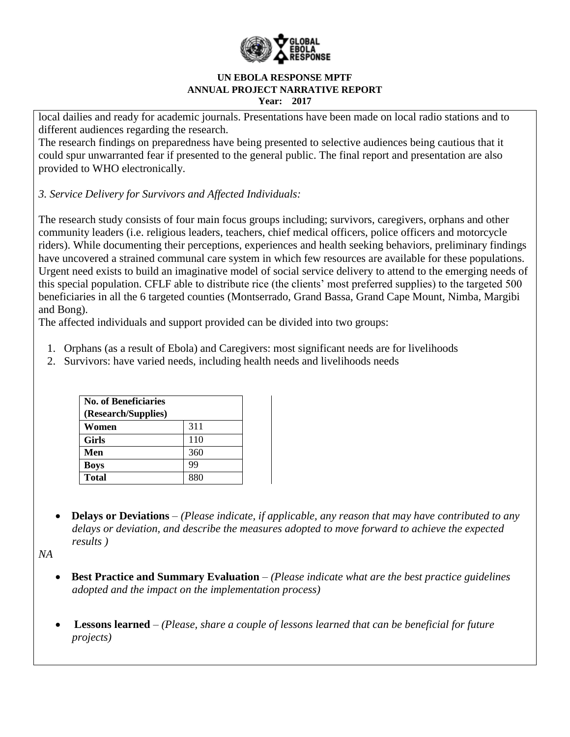

local dailies and ready for academic journals. Presentations have been made on local radio stations and to different audiences regarding the research.

The research findings on preparedness have being presented to selective audiences being cautious that it could spur unwarranted fear if presented to the general public. The final report and presentation are also provided to WHO electronically.

*3. Service Delivery for Survivors and Affected Individuals:*

The research study consists of four main focus groups including; survivors, caregivers, orphans and other community leaders (i.e. religious leaders, teachers, chief medical officers, police officers and motorcycle riders). While documenting their perceptions, experiences and health seeking behaviors, preliminary findings have uncovered a strained communal care system in which few resources are available for these populations. Urgent need exists to build an imaginative model of social service delivery to attend to the emerging needs of this special population. CFLF able to distribute rice (the clients' most preferred supplies) to the targeted 500 beneficiaries in all the 6 targeted counties (Montserrado, Grand Bassa, Grand Cape Mount, Nimba, Margibi and Bong).

The affected individuals and support provided can be divided into two groups:

- 1. Orphans (as a result of Ebola) and Caregivers: most significant needs are for livelihoods
- 2. Survivors: have varied needs, including health needs and livelihoods needs

| <b>No. of Beneficiaries</b><br>(Research/Supplies) |     |
|----------------------------------------------------|-----|
| Women                                              | 311 |
| <b>Girls</b>                                       | 110 |
| Men                                                | 360 |
| <b>Boys</b>                                        | 99  |
| <b>Total</b>                                       | 880 |

 **Delays or Deviations** *– (Please indicate, if applicable, any reason that may have contributed to any delays or deviation, and describe the measures adopted to move forward to achieve the expected results )*

*NA*

- **Best Practice and Summary Evaluation** *– (Please indicate what are the best practice guidelines adopted and the impact on the implementation process)*
- **Lessons learned** *– (Please, share a couple of lessons learned that can be beneficial for future projects)*